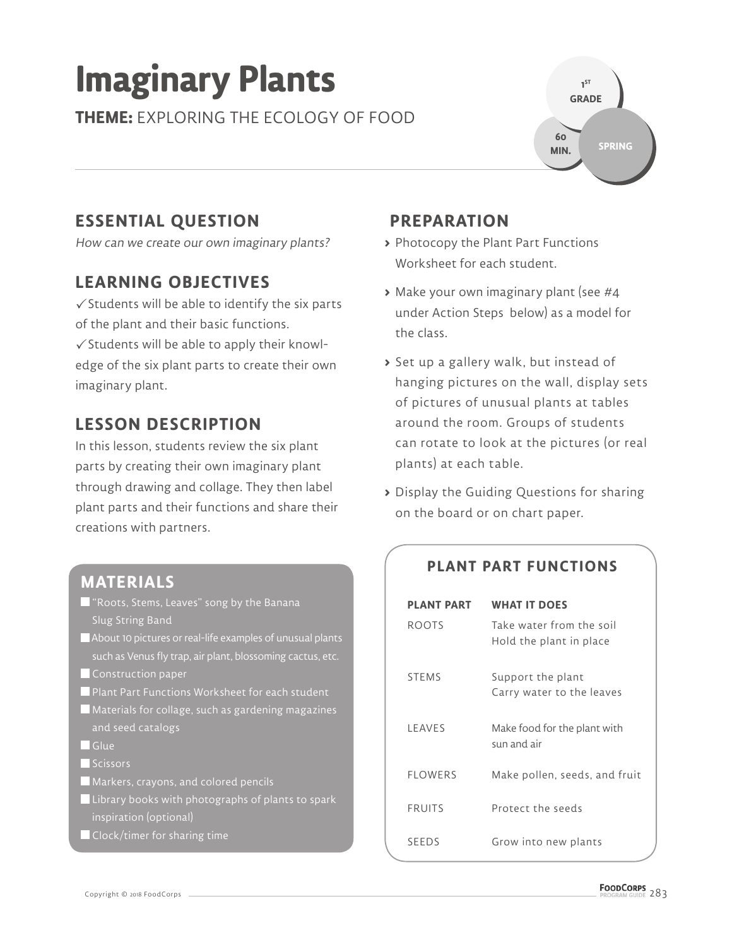# **Imaginary Plants**

**THEME:** EXPLORING THE ECOLOGY OF FOOD



## **ESSENTIAL QUESTION**

How can we create our own imaginary plants?

#### **LEARNING OBJECTIVES**

 $\checkmark$  Students will be able to identify the six parts of the plant and their basic functions.

 $\checkmark$  Students will be able to apply their knowledge of the six plant parts to create their own imaginary plant.

#### **LESSON DESCRIPTION**

In this lesson, students review the six plant parts by creating their own imaginary plant through drawing and collage. They then label plant parts and their functions and share their creations with partners.

### **PREPARATION**

- **>** Photocopy the Plant Part Functions Worksheet for each student.
- **>** Make your own imaginary plant (see #4 under Action Steps below) as a model for the class.
- **>** Set up a gallery walk, but instead of hanging pictures on the wall, display sets of pictures of unusual plants at tables around the room. Groups of students can rotate to look at the pictures (or real plants) at each table.
- **>** Display the Guiding Questions for sharing on the board or on chart paper.

#### **PLANT PART FUNCTIONS**

| <b>PLANT PART</b> | <b>WHAT IT DOES</b>                                 |
|-------------------|-----------------------------------------------------|
| <b>ROOTS</b>      | Take water from the soil<br>Hold the plant in place |
| <b>STEMS</b>      | Support the plant                                   |
|                   | Carry water to the leaves                           |
| <b>IFAVES</b>     | Make food for the plant with<br>sun and air         |
| <b>FLOWERS</b>    | Make pollen, seeds, and fruit                       |
| <b>FRUITS</b>     | Protect the seeds                                   |
| SEEDS             | Grow into new plants                                |

#### **MATERIALS**

- **T** "Roots, Stems, Leaves" song by the Banana Slug String Band
- About 10 pictures or real-life examples of unusual plants such as Venus fly trap, air plant, blossoming cactus, etc.
- **Construction paper**
- **Plant Part Functions Worksheet for each student**
- Materials for collage, such as gardening magazines and seed catalogs
- Glue
- Scissors
- Markers, crayons, and colored pencils
- $\blacksquare$  Library books with photographs of plants to spark inspiration (optional)
- Clock/timer for sharing time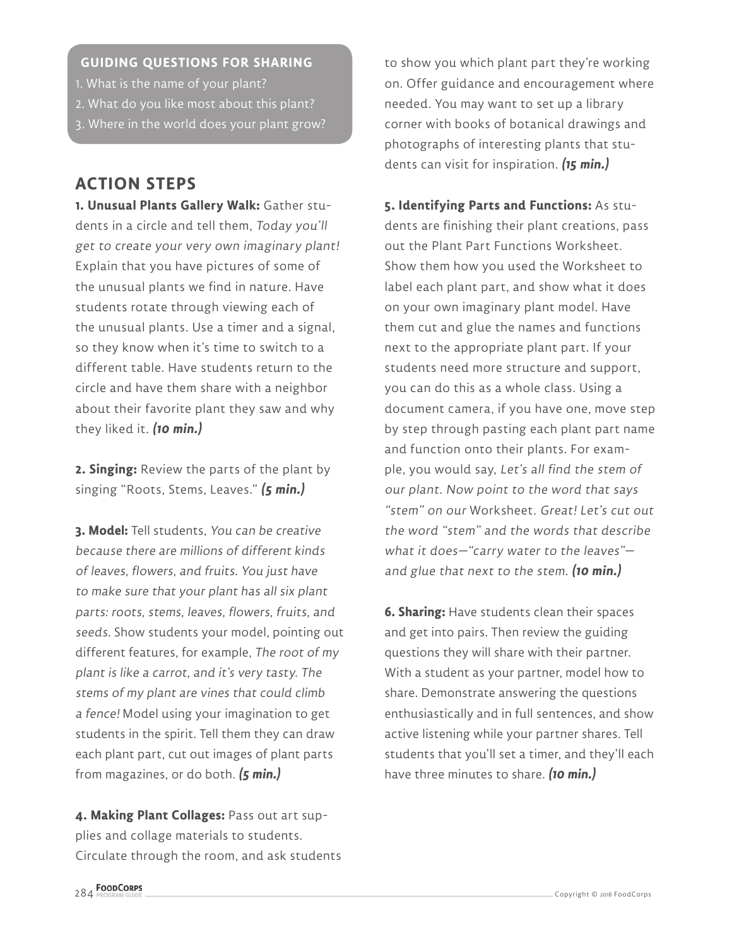#### **GUIDING QUESTIONS FOR SHARING**

- 1. What is the name of your plant?
- 2. What do you like most about this plant?
- 3. Where in the world does your plant grow?

#### **ACTION STEPS**

**1. Unusual Plants Gallery Walk:** Gather students in a circle and tell them, Today you'll get to create your very own imaginary plant! Explain that you have pictures of some of the unusual plants we find in nature. Have students rotate through viewing each of the unusual plants. Use a timer and a signal, so they know when it's time to switch to a different table. Have students return to the circle and have them share with a neighbor about their favorite plant they saw and why they liked it. **(10 min.)**

**2. Singing:** Review the parts of the plant by singing "Roots, Stems, Leaves." **(5 min.)**

**3. Model:** Tell students, You can be creative because there are millions of different kinds of leaves, flowers, and fruits. You just have to make sure that your plant has all six plant parts: roots, stems, leaves, flowers, fruits, and seeds. Show students your model, pointing out different features, for example, The root of my plant is like a carrot, and it's very tasty. The stems of my plant are vines that could climb a fence! Model using your imagination to get students in the spirit. Tell them they can draw each plant part, cut out images of plant parts from magazines, or do both. **(5 min.)**

**4. Making Plant Collages:** Pass out art supplies and collage materials to students. Circulate through the room, and ask students to show you which plant part they're working on. Offer guidance and encouragement where needed. You may want to set up a library corner with books of botanical drawings and photographs of interesting plants that students can visit for inspiration. **(15 min.)**

**5. Identifying Parts and Functions:** As students are finishing their plant creations, pass out the Plant Part Functions Worksheet. Show them how you used the Worksheet to label each plant part, and show what it does on your own imaginary plant model. Have them cut and glue the names and functions next to the appropriate plant part. If your students need more structure and support, you can do this as a whole class. Using a document camera, if you have one, move step by step through pasting each plant part name and function onto their plants. For example, you would say, Let's all find the stem of our plant. Now point to the word that says "stem" on our Worksheet. Great! Let's cut out the word "stem" and the words that describe what it does—"carry water to the leaves" and glue that next to the stem. **(10 min.)**

**6. Sharing:** Have students clean their spaces and get into pairs. Then review the guiding questions they will share with their partner. With a student as your partner, model how to share. Demonstrate answering the questions enthusiastically and in full sentences, and show active listening while your partner shares. Tell students that you'll set a timer, and they'll each have three minutes to share. **(10 min.)**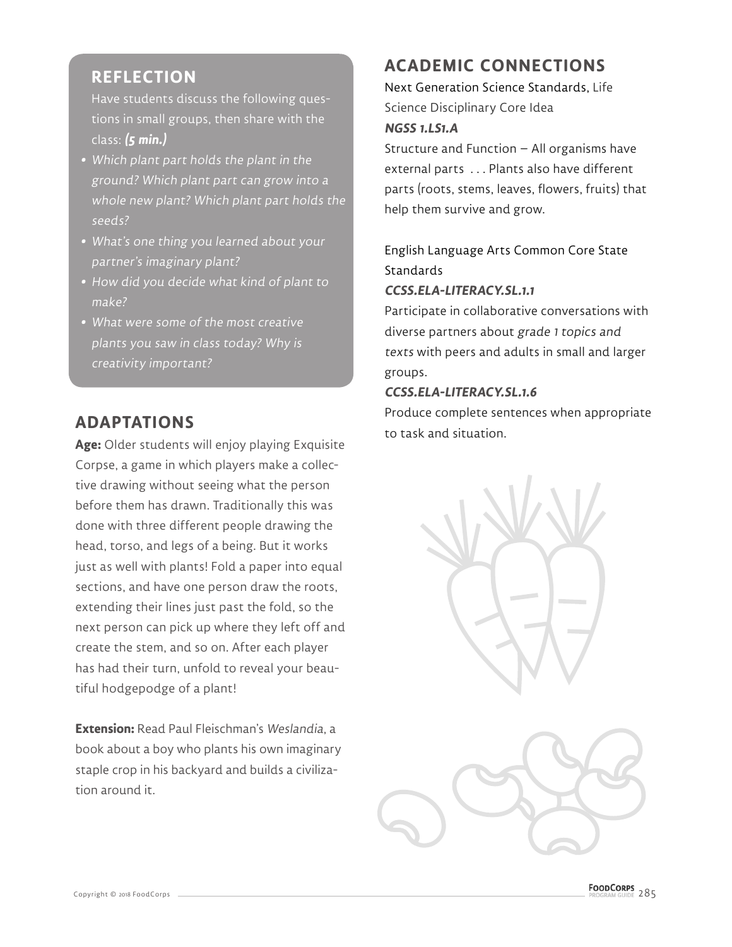#### **REFLECTION**

Have students discuss the following questions in small groups, then share with the class: **(5 min.)**

- **•** Which plant part holds the plant in the ground? Which plant part can grow into a whole new plant? Which plant part holds the seeds?
- **•** What's one thing you learned about your partner's imaginary plant?
- **•** How did you decide what kind of plant to make?
- **•** What were some of the most creative plants you saw in class today? Why is creativity important?

#### **ADAPTATIONS**

**Age:** Older students will enjoy playing Exquisite Corpse, a game in which players make a collective drawing without seeing what the person before them has drawn. Traditionally this was done with three different people drawing the head, torso, and legs of a being. But it works just as well with plants! Fold a paper into equal sections, and have one person draw the roots, extending their lines just past the fold, so the next person can pick up where they left off and create the stem, and so on. After each player has had their turn, unfold to reveal your beautiful hodgepodge of a plant!

**Extension:** Read Paul Fleischman's Weslandia, a book about a boy who plants his own imaginary staple crop in his backyard and builds a civilization around it.

#### **ACADEMIC CONNECTIONS**

Next Generation Science Standards, Life Science Disciplinary Core Idea **NGSS 1.LS1.A** 

Structure and Function – All organisms have external parts . . . Plants also have different parts (roots, stems, leaves, flowers, fruits) that help them survive and grow.

English Language Arts Common Core State **Standards** 

#### **CCSS.ELA-LITERACY.SL.1.1**

Participate in collaborative conversations with diverse partners about grade 1 topics and texts with peers and adults in small and larger groups.

#### **CCSS.ELA-LITERACY.SL.1.6**

Produce complete sentences when appropriate to task and situation.